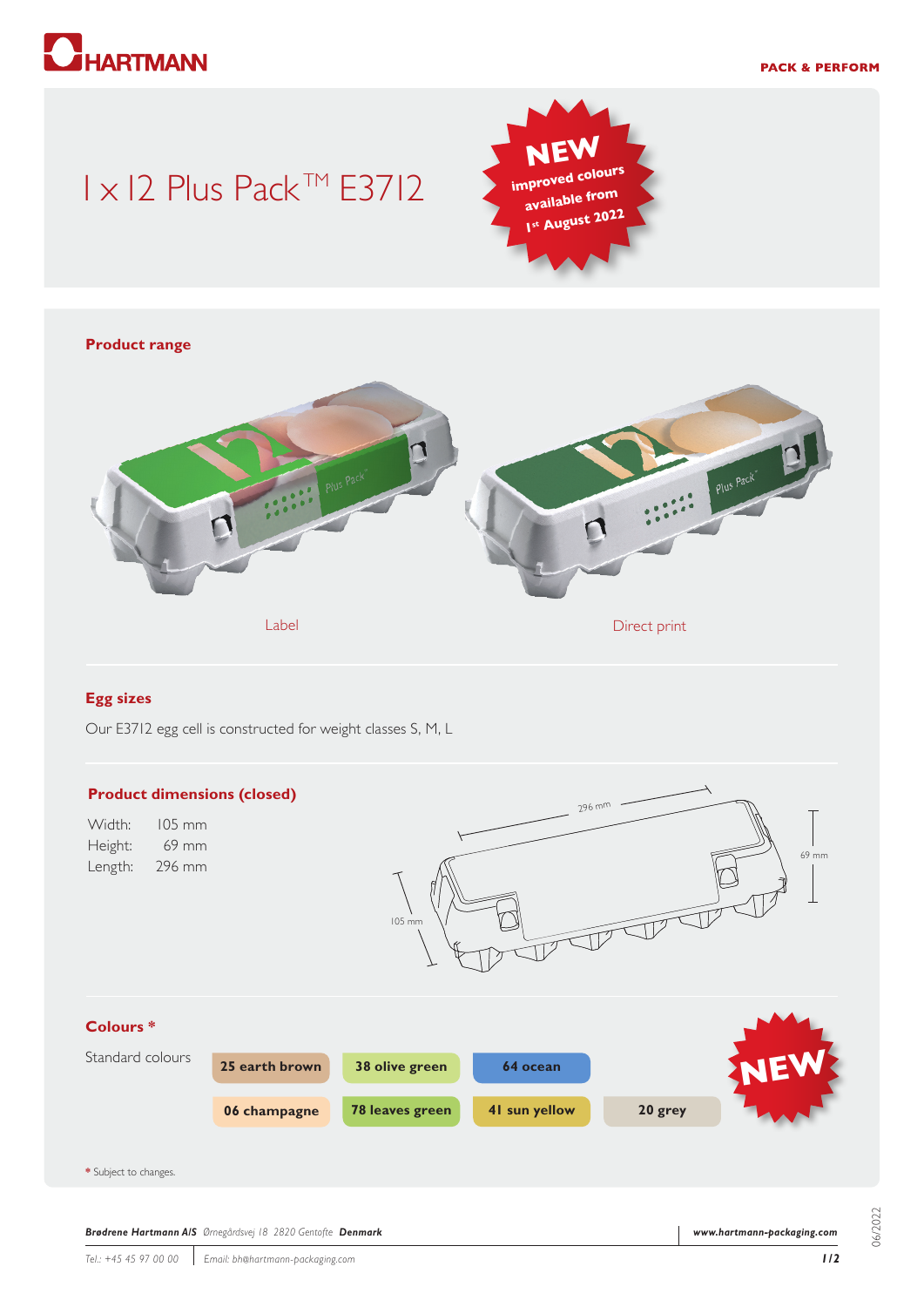# **HARTMANN**

#### **PACK & PERFORM**

## 1 x 12 Plus Pack™ E3712





#### **Egg sizes**

Our E3712 egg cell is constructed for weight classes S, M, L



06/2022